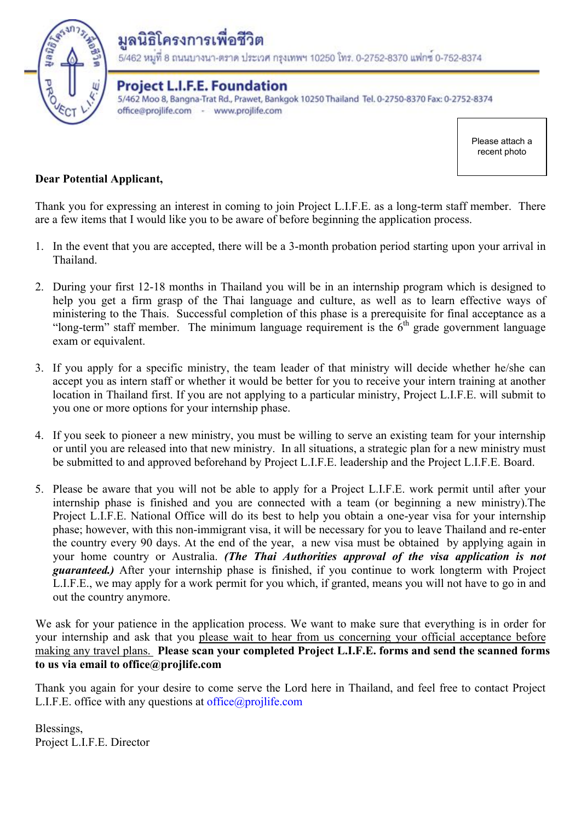

# มลนิธิโครงการเพื่อชีวิต

5/462 หมูที่ 8 ถนนบางนา-ตราด ประเวศ กรุงเทพฯ 10250 โทร. 0-2752-8370 แฟกซ์ 0-752-8374

**Project L.I.F.E. Foundation** 5/462 Moo 8, Bangna-Trat Rd., Prawet, Bankgok 10250 Thailand Tel. 0-2750-8370 Fax: 0-2752-8374 office@projlife.com - www.projlife.com

> Please attach a recent photo

## **Dear Potential Applicant,**

Thank you for expressing an interest in coming to join Project L.I.F.E. as a long-term staff member. There are a few items that I would like you to be aware of before beginning the application process.

- 1. In the event that you are accepted, there will be a 3-month probation period starting upon your arrival in Thailand.
- 2. During your first 12-18 months in Thailand you will be in an internship program which is designed to help you get a firm grasp of the Thai language and culture, as well as to learn effective ways of ministering to the Thais. Successful completion of this phase is a prerequisite for final acceptance as a "long-term" staff member. The minimum language requirement is the  $6<sup>th</sup>$  grade government language exam or equivalent.
- 3. If you apply for a specific ministry, the team leader of that ministry will decide whether he/she can accept you as intern staff or whether it would be better for you to receive your intern training at another location in Thailand first. If you are not applying to a particular ministry, Project L.I.F.E. will submit to you one or more options for your internship phase.
- 4. If you seek to pioneer a new ministry, you must be willing to serve an existing team for your internship or until you are released into that new ministry. In all situations, a strategic plan for a new ministry must be submitted to and approved beforehand by Project L.I.F.E. leadership and the Project L.I.F.E. Board.
- 5. Please be aware that you will not be able to apply for a Project L.I.F.E. work permit until after your internship phase is finished and you are connected with a team (or beginning a new ministry).The Project L.I.F.E. National Office will do its best to help you obtain a one-year visa for your internship phase; however, with this non-immigrant visa, it will be necessary for you to leave Thailand and re-enter the country every 90 days. At the end of the year, a new visa must be obtained by applying again in your home country or Australia. *(The Thai Authorities approval of the visa application is not guaranteed.)* After your internship phase is finished, if you continue to work longterm with Project L.I.F.E., we may apply for a work permit for you which, if granted, means you will not have to go in and out the country anymore.

We ask for your patience in the application process. We want to make sure that everything is in order for your internship and ask that you please wait to hear from us concerning your official acceptance before making any travel plans. **Please scan your completed Project L.I.F.E. forms and send the scanned forms to us via email to office@projlife.com**

Thank you again for your desire to come serve the Lord here in Thailand, and feel free to contact Project L.I.F.E. office with any questions at office@projlife.com

Blessings, Project L.I.F.E. Director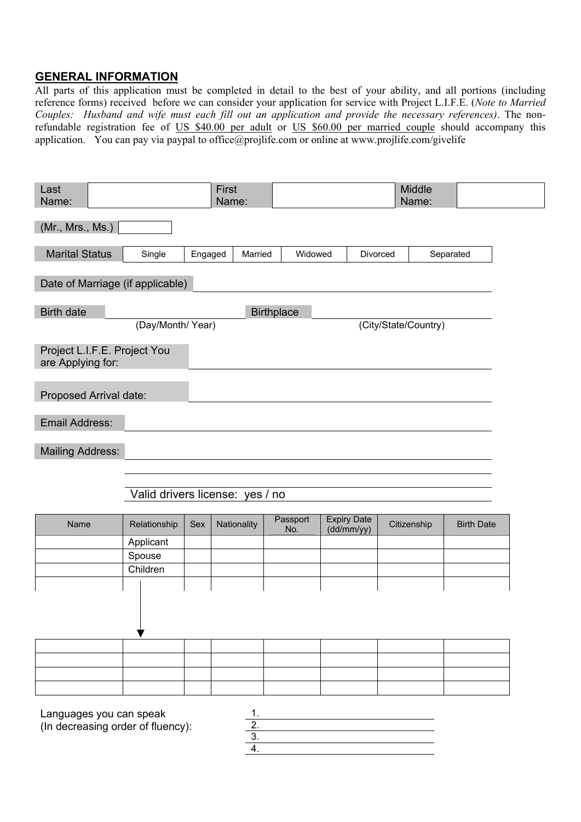## **GENERAL INFORMATION**

All parts of this application must be completed in detail to the best of your ability, and all portions (including reference forms) received before we can consider your application for service with Project L.I.F.E. (*Note to Married Couples: Husband and wife must each fill out an application and provide the necessary references)*. The nonrefundable registration fee of US \$40.00 per adult or US \$60.00 per married couple should accompany this application. You can pay via paypal to office@projlife.com or online at www.projlife.com/givelife

| Last<br>Name:                                                |                                 |         | First<br>Name:       |                   |                                  | Middle<br>Name:      |                   |
|--------------------------------------------------------------|---------------------------------|---------|----------------------|-------------------|----------------------------------|----------------------|-------------------|
| (Mr., Mrs., Ms.)                                             |                                 |         |                      |                   |                                  |                      |                   |
| <b>Marital Status</b>                                        | Single                          | Engaged | Married              | Widowed           |                                  | Divorced             | Separated         |
| Date of Marriage (if applicable)                             |                                 |         |                      |                   |                                  |                      |                   |
| <b>Birth date</b>                                            |                                 |         |                      | <b>Birthplace</b> |                                  |                      |                   |
|                                                              | (Day/Month/Year)                |         |                      |                   |                                  | (City/State/Country) |                   |
| Project L.I.F.E. Project You<br>are Applying for:            |                                 |         |                      |                   |                                  |                      |                   |
| Proposed Arrival date:                                       |                                 |         |                      |                   |                                  |                      |                   |
| Email Address:                                               |                                 |         |                      |                   |                                  |                      |                   |
| <b>Mailing Address:</b>                                      |                                 |         |                      |                   |                                  |                      |                   |
|                                                              |                                 |         |                      |                   |                                  |                      |                   |
|                                                              | Valid drivers license: yes / no |         |                      |                   |                                  |                      |                   |
| Name                                                         | Relationship                    | Sex     | Nationality          | Passport<br>No.   | <b>Expiry Date</b><br>(dd/mm/yy) | Citizenship          | <b>Birth Date</b> |
|                                                              | Applicant                       |         |                      |                   |                                  |                      |                   |
|                                                              | Spouse                          |         |                      |                   |                                  |                      |                   |
|                                                              | Children                        |         |                      |                   |                                  |                      |                   |
|                                                              |                                 |         |                      |                   |                                  |                      |                   |
|                                                              |                                 |         |                      |                   |                                  |                      |                   |
|                                                              |                                 |         |                      |                   |                                  |                      |                   |
|                                                              |                                 |         |                      |                   |                                  |                      |                   |
| Languages you can speak<br>(In decreasing order of fluency): |                                 |         | 1.<br>$\overline{2}$ |                   |                                  |                      |                   |

3.

4.

(In decreasing order of fluency):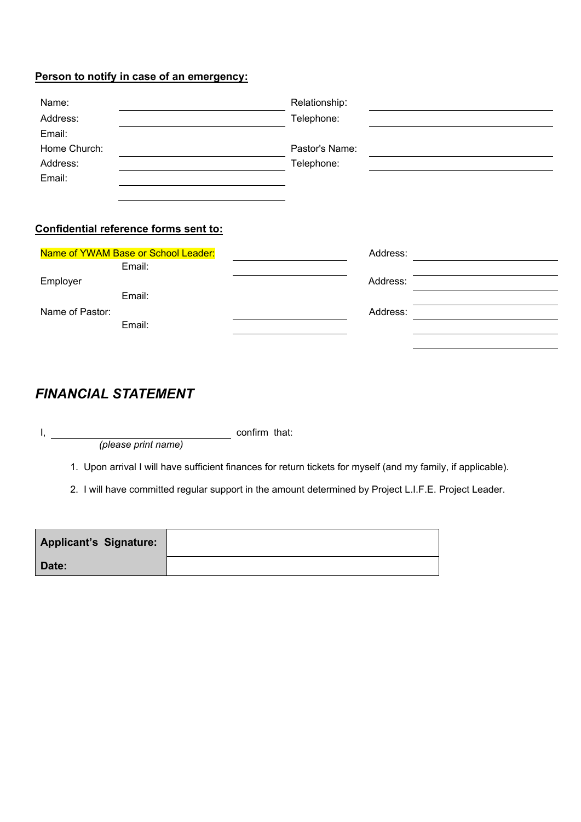## **Person to notify in case of an emergency:**

| Name:        | Relationship:  |  |
|--------------|----------------|--|
| Address:     | Telephone:     |  |
| Email:       |                |  |
| Home Church: | Pastor's Name: |  |
| Address:     | Telephone:     |  |
| Email:       |                |  |

#### **Confidential reference forms sent to:**

| Name of YWAM Base or School Leader: |        | Address: |  |
|-------------------------------------|--------|----------|--|
|                                     | Email: |          |  |
| Employer                            |        | Address: |  |
|                                     | Email: |          |  |
| Name of Pastor:                     |        | Address: |  |
|                                     | Email: |          |  |

## *FINANCIAL STATEMENT*

*(please print name)*

I, and the confirm that:

1. Upon arrival I will have sufficient finances for return tickets for myself (and my family, if applicable).

2. I will have committed regular support in the amount determined by Project L.I.F.E. Project Leader.

| <b>Applicant's Signature:</b> |  |
|-------------------------------|--|
| Date:                         |  |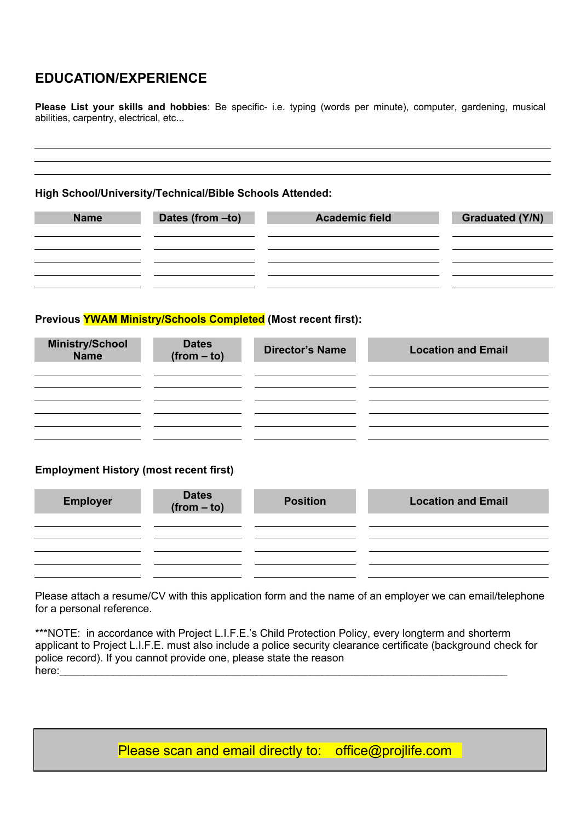## **EDUCATION/EXPERIENCE**

**Please List your skills and hobbies**: Be specific- i.e. typing (words per minute), computer, gardening, musical abilities, carpentry, electrical, etc...

#### **High School/University/Technical/Bible Schools Attended:**

| <b>Name</b> | Dates (from -to) | <b>Academic field</b> | <b>Graduated (Y/N)</b> |
|-------------|------------------|-----------------------|------------------------|
|             |                  |                       |                        |
|             |                  |                       |                        |
|             |                  |                       |                        |
|             |                  |                       |                        |
|             |                  |                       |                        |
|             |                  |                       |                        |

#### **Previous YWAM Ministry/Schools Completed (Most recent first):**

| <b>Dates</b><br>$(from - to)$ | <b>Director's Name</b> | <b>Location and Email</b> |
|-------------------------------|------------------------|---------------------------|
|                               |                        |                           |
|                               |                        |                           |
|                               |                        |                           |

#### **Employment History (most recent first)**

| <b>Employer</b> | Dates<br>(from – to) | <b>Position</b> | <b>Location and Email</b> |
|-----------------|----------------------|-----------------|---------------------------|
|                 |                      |                 |                           |
|                 |                      |                 |                           |
|                 |                      |                 |                           |

Please attach a resume/CV with this application form and the name of an employer we can email/telephone for a personal reference.

\*\*\*NOTE: in accordance with Project L.I.F.E.'s Child Protection Policy, every longterm and shorterm applicant to Project L.I.F.E. must also include a police security clearance certificate (background check for police record). If you cannot provide one, please state the reason here:

Please scan and email directly to: office@projlife.com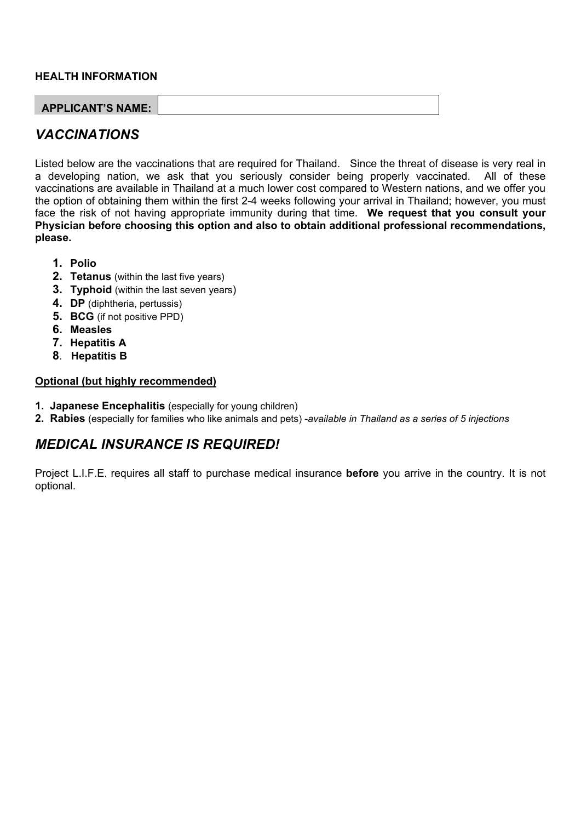#### **HEALTH INFORMATION**

| <b>APPLICANT'S NAME:</b> |  |
|--------------------------|--|

## *VACCINATIONS*

Listed below are the vaccinations that are required for Thailand. Since the threat of disease is very real in a developing nation, we ask that you seriously consider being properly vaccinated. All of these vaccinations are available in Thailand at a much lower cost compared to Western nations, and we offer you the option of obtaining them within the first 2-4 weeks following your arrival in Thailand; however, you must face the risk of not having appropriate immunity during that time. **We request that you consult your Physician before choosing this option and also to obtain additional professional recommendations, please.**

- **1. Polio**
- **2. Tetanus** (within the last five years)
- **3. Typhoid** (within the last seven years)
- **4. DP** (diphtheria, pertussis)
- **5. BCG** (if not positive PPD)
- **6. Measles**
- **7. Hepatitis A**
- **8**. **Hepatitis B**

#### **Optional (but highly recommended)**

- **1. Japanese Encephalitis** (especially for young children)
- **2. Rabies** (especially for families who like animals and pets) -*available in Thailand as a series of 5 injections*

## *MEDICAL INSURANCE IS REQUIRED!*

Project L.I.F.E. requires all staff to purchase medical insurance **before** you arrive in the country. It is not optional.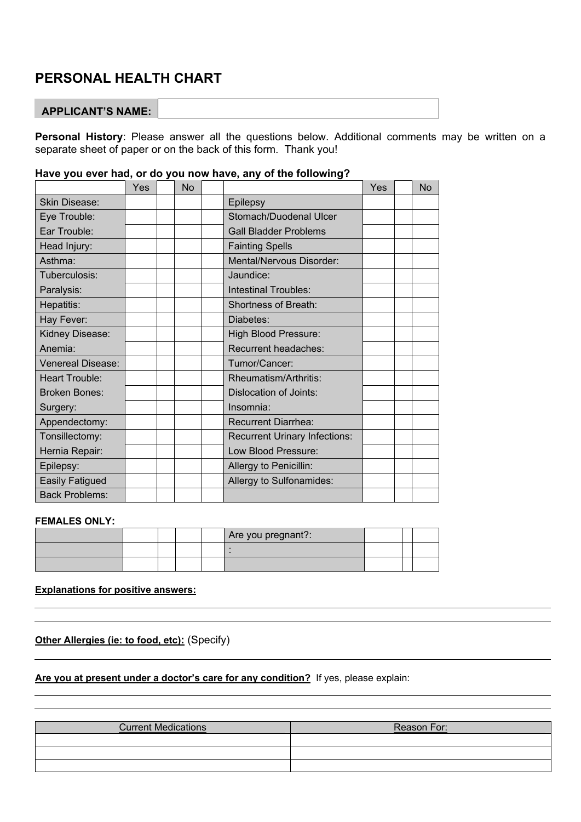## **PERSONAL HEALTH CHART**

#### **APPLICANT'S NAME:**

**Personal History**: Please answer all the questions below. Additional comments may be written on a separate sheet of paper or on the back of this form. Thank you!

|                          | Yes | No |                                      | Yes | <b>No</b> |
|--------------------------|-----|----|--------------------------------------|-----|-----------|
| Skin Disease:            |     |    | Epilepsy                             |     |           |
| Eye Trouble:             |     |    | Stomach/Duodenal Ulcer               |     |           |
| Ear Trouble:             |     |    | <b>Gall Bladder Problems</b>         |     |           |
| Head Injury:             |     |    | <b>Fainting Spells</b>               |     |           |
| Asthma:                  |     |    | Mental/Nervous Disorder:             |     |           |
| Tuberculosis:            |     |    | Jaundice:                            |     |           |
| Paralysis:               |     |    | <b>Intestinal Troubles:</b>          |     |           |
| Hepatitis:               |     |    | <b>Shortness of Breath:</b>          |     |           |
| Hay Fever:               |     |    | Diabetes:                            |     |           |
| Kidney Disease:          |     |    | <b>High Blood Pressure:</b>          |     |           |
| Anemia:                  |     |    | Recurrent headaches:                 |     |           |
| <b>Venereal Disease:</b> |     |    | Tumor/Cancer:                        |     |           |
| <b>Heart Trouble:</b>    |     |    | Rheumatism/Arthritis:                |     |           |
| <b>Broken Bones:</b>     |     |    | Dislocation of Joints:               |     |           |
| Surgery:                 |     |    | Insomnia:                            |     |           |
| Appendectomy:            |     |    | <b>Recurrent Diarrhea:</b>           |     |           |
| Tonsillectomy:           |     |    | <b>Recurrent Urinary Infections:</b> |     |           |
| Hernia Repair:           |     |    | Low Blood Pressure:                  |     |           |
| Epilepsy:                |     |    | Allergy to Penicillin:               |     |           |
| <b>Easily Fatigued</b>   |     |    | Allergy to Sulfonamides:             |     |           |
| <b>Back Problems:</b>    |     |    |                                      |     |           |

## **Have you ever had, or do you now have, any of the following?**

#### **FEMALES ONLY:**

|  |  | Are you pregnant?: |  |  |
|--|--|--------------------|--|--|
|  |  |                    |  |  |
|  |  |                    |  |  |

#### **Explanations for positive answers:**

**Other Allergies (ie: to food, etc):** (Specify)

**Are you at present under a doctor's care for any condition?** If yes, please explain:

| <b>Current Medications</b> | Reason For: |
|----------------------------|-------------|
|                            |             |
|                            |             |
|                            |             |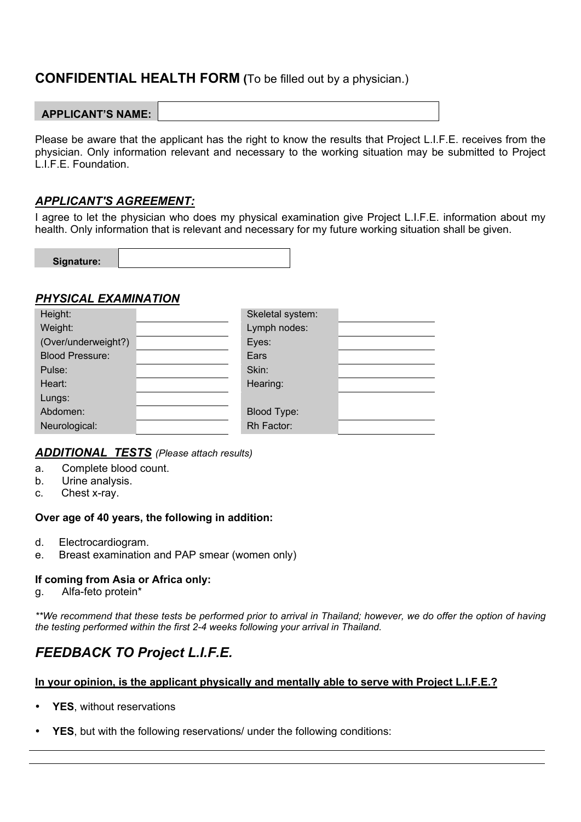## **CONFIDENTIAL HEALTH FORM (**To be filled out by a physician.)

## **APPLICANT'S NAME:**

Please be aware that the applicant has the right to know the results that Project L.I.F.E. receives from the physician. Only information relevant and necessary to the working situation may be submitted to Project L.I.F.E. Foundation.

## *APPLICANT'S AGREEMENT:*

I agree to let the physician who does my physical examination give Project L.I.F.E. information about my health. Only information that is relevant and necessary for my future working situation shall be given.

| Signature: |  |
|------------|--|
|            |  |

#### *PHYSICAL EXAMINATION*

| Height:                | Skeletal system: |  |
|------------------------|------------------|--|
| Weight:                | Lymph nodes:     |  |
| (Over/underweight?)    | Eyes:            |  |
| <b>Blood Pressure:</b> | Ears             |  |
| Pulse:                 | Skin:            |  |
| Heart:                 | Hearing:         |  |
| Lungs:                 |                  |  |
| Abdomen:               | Blood Type:      |  |
| Neurological:          | Rh Factor:       |  |

## *ADDITIONAL TESTS (Please attach results)*

- a. Complete blood count.
- b. Urine analysis.
- c. Chest x-ray.

#### **Over age of 40 years, the following in addition:**

- d. Electrocardiogram.
- e. Breast examination and PAP smear (women only)

## **If coming from Asia or Africa only:**

g. Alfa-feto protein\*

*\*\*We recommend that these tests be performed prior to arrival in Thailand; however, we do offer the option of having the testing performed within the first 2-4 weeks following your arrival in Thailand.*

# *FEEDBACK TO Project L.I.F.E.*

#### **In your opinion, is the applicant physically and mentally able to serve with Project L.I.F.E.?**

- YES, without reservations
- **YES**, but with the following reservations/ under the following conditions: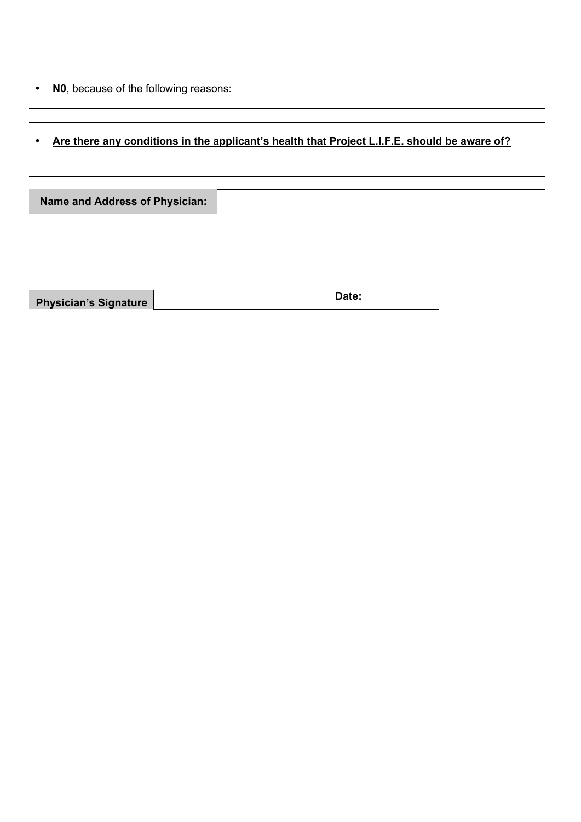• **N0**, because of the following reasons:

I

# • **Are there any conditions in the applicant's health that Project L.I.F.E. should be aware of?**

| Name and Address of Physician: |  |
|--------------------------------|--|
|                                |  |
|                                |  |

| <b>Physician's Signature</b> | Date: |
|------------------------------|-------|
|                              |       |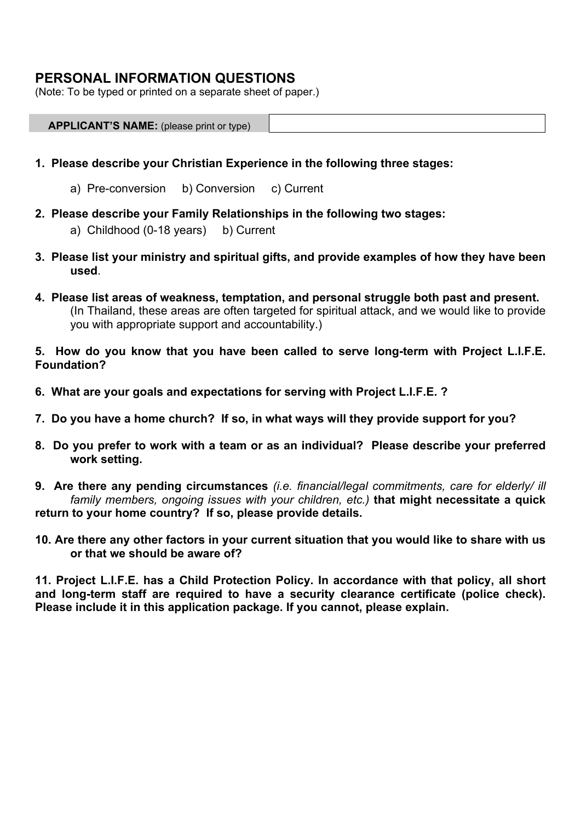## **PERSONAL INFORMATION QUESTIONS**

(Note: To be typed or printed on a separate sheet of paper.)

| <b>APPLICANT'S NAME:</b> (please print or type) |  |
|-------------------------------------------------|--|
|                                                 |  |

- **1. Please describe your Christian Experience in the following three stages:**
	- a) Pre-conversion b) Conversion c) Current
- **2. Please describe your Family Relationships in the following two stages:**
	- a) Childhood (0-18 years) b) Current
- **3. Please list your ministry and spiritual gifts, and provide examples of how they have been used**.
- **4. Please list areas of weakness, temptation, and personal struggle both past and present.** (In Thailand, these areas are often targeted for spiritual attack, and we would like to provide you with appropriate support and accountability.)
- **5. How do you know that you have been called to serve long-term with Project L.I.F.E. Foundation?**
- **6. What are your goals and expectations for serving with Project L.I.F.E. ?**
- **7. Do you have a home church? If so, in what ways will they provide support for you?**
- **8. Do you prefer to work with a team or as an individual? Please describe your preferred work setting.**

**9. Are there any pending circumstances** *(i.e. financial/legal commitments, care for elderly/ ill family members, ongoing issues with your children, etc.)* **that might necessitate a quick return to your home country? If so, please provide details.**

**10. Are there any other factors in your current situation that you would like to share with us or that we should be aware of?**

**11. Project L.I.F.E. has a Child Protection Policy. In accordance with that policy, all short and long-term staff are required to have a security clearance certificate (police check). Please include it in this application package. If you cannot, please explain.**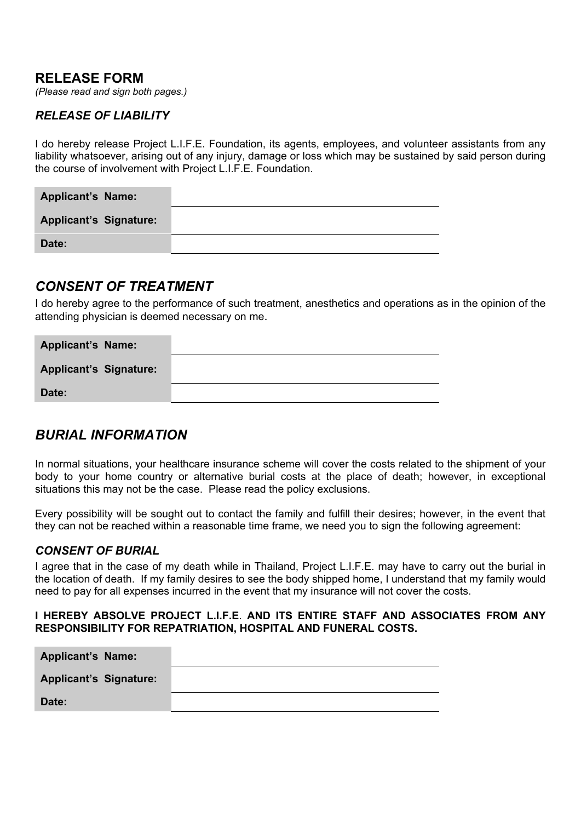## **RELEASE FORM**

*(Please read and sign both pages.)*

#### *RELEASE OF LIABILITY*

I do hereby release Project L.I.F.E. Foundation, its agents, employees, and volunteer assistants from any liability whatsoever, arising out of any injury, damage or loss which may be sustained by said person during the course of involvement with Project L.I.F.E. Foundation.

| <b>Applicant's Name:</b>      |  |
|-------------------------------|--|
| <b>Applicant's Signature:</b> |  |
| Date:                         |  |

## *CONSENT OF TREATMENT*

I do hereby agree to the performance of such treatment, anesthetics and operations as in the opinion of the attending physician is deemed necessary on me.

| <b>Applicant's Name:</b>      |  |
|-------------------------------|--|
| <b>Applicant's Signature:</b> |  |
| Date:                         |  |

## *BURIAL INFORMATION*

In normal situations, your healthcare insurance scheme will cover the costs related to the shipment of your body to your home country or alternative burial costs at the place of death; however, in exceptional situations this may not be the case. Please read the policy exclusions.

Every possibility will be sought out to contact the family and fulfill their desires; however, in the event that they can not be reached within a reasonable time frame, we need you to sign the following agreement:

#### *CONSENT OF BURIAL*

I agree that in the case of my death while in Thailand, Project L.I.F.E. may have to carry out the burial in the location of death. If my family desires to see the body shipped home, I understand that my family would need to pay for all expenses incurred in the event that my insurance will not cover the costs.

#### **I HEREBY ABSOLVE PROJECT L.I.F.E**. **AND ITS ENTIRE STAFF AND ASSOCIATES FROM ANY RESPONSIBILITY FOR REPATRIATION, HOSPITAL AND FUNERAL COSTS.**

| <b>Applicant's Name:</b>      |  |
|-------------------------------|--|
| <b>Applicant's Signature:</b> |  |
| Date:                         |  |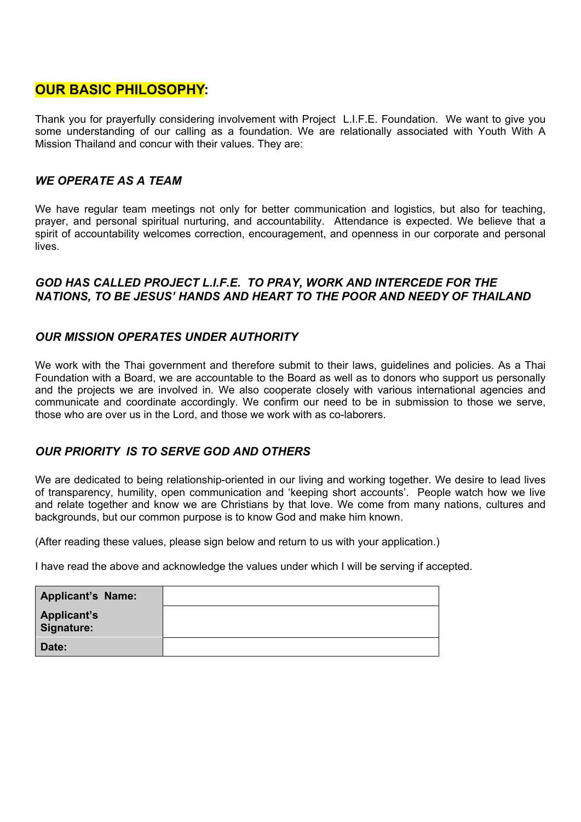## **OUR BASIC PHILOSOPHY:**

Thank you for prayerfully considering involvement with Project L.I.F.E. Foundation. We want to give you some understanding of our calling as a foundation. We are relationally associated with Youth With A Mission Thailand and concur with their values. They are:

## *WE OPERATE AS A TEAM*

We have regular team meetings not only for better communication and logistics, but also for teaching, prayer, and personal spiritual nurturing, and accountability. Attendance is expected. We believe that a spirit of accountability welcomes correction, encouragement, and openness in our corporate and personal lives.

#### *GOD HAS CALLED PROJECT L.I.F.E. TO PRAY, WORK AND INTERCEDE FOR THE NATIONS, TO BE JESUS' HANDS AND HEART TO THE POOR AND NEEDY OF THAILAND*

## *OUR MISSION OPERATES UNDER AUTHORITY*

We work with the Thai government and therefore submit to their laws, guidelines and policies. As a Thai Foundation with a Board, we are accountable to the Board as well as to donors who support us personally and the projects we are involved in. We also cooperate closely with various international agencies and communicate and coordinate accordingly. We confirm our need to be in submission to those we serve, those who are over us in the Lord, and those we work with as co-laborers.

## *OUR PRIORITY IS TO SERVE GOD AND OTHERS*

We are dedicated to being relationship-oriented in our living and working together. We desire to lead lives of transparency, humility, open communication and 'keeping short accounts'. People watch how we live and relate together and know we are Christians by that love. We come from many nations, cultures and backgrounds, but our common purpose is to know God and make him known.

(After reading these values, please sign below and return to us with your application.)

I have read the above and acknowledge the values under which I will be serving if accepted.

| <b>Applicant's Name:</b>  |  |
|---------------------------|--|
| Applicant's<br>Signature: |  |
| Date:                     |  |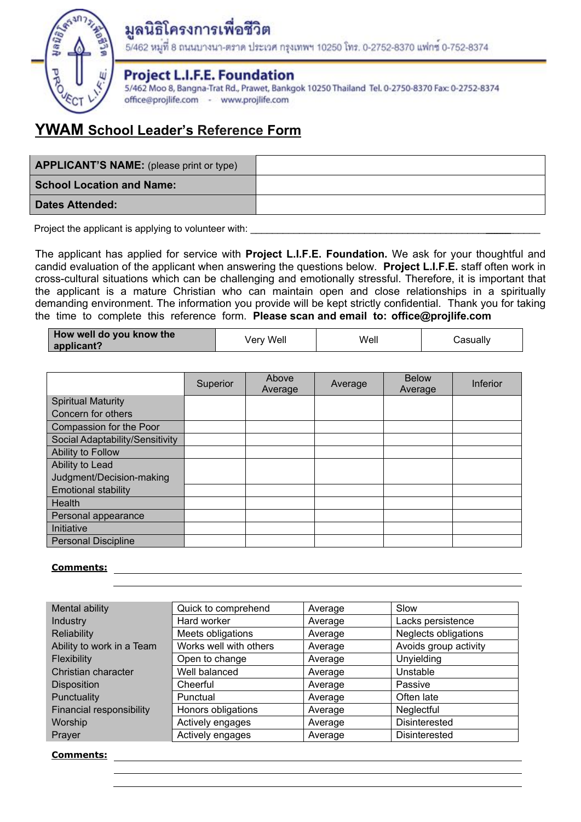

# มูลนิธิโครงการเพื่อชีวิต

5/462 หมูที่ 8 ถนนบางนา-ตราด ประเวศ กรุงเทพฯ 10250 โทร. 0-2752-8370 แฟกซ 0-752-8374

## **Project L.I.F.E. Foundation**

5/462 Moo 8, Bangna-Trat Rd., Prawet, Bankgok 10250 Thailand Tel. 0-2750-8370 Fax: 0-2752-8374 office@projlife.com - www.projlife.com

# **YWAM School Leader's Reference Form**

| <b>APPLICANT'S NAME:</b> (please print or type) |  |
|-------------------------------------------------|--|
| <b>School Location and Name:</b>                |  |
| <b>Dates Attended:</b>                          |  |
|                                                 |  |

Project the applicant is applying to volunteer with:

The applicant has applied for service with **Project L.I.F.E. Foundation.** We ask for your thoughtful and candid evaluation of the applicant when answering the questions below. **Project L.I.F.E.** staff often work in cross-cultural situations which can be challenging and emotionally stressful. Therefore, it is important that the applicant is a mature Christian who can maintain open and close relationships in a spiritually demanding environment. The information you provide will be kept strictly confidential. Thank you for taking the time to complete this reference form. **Please scan and email to: office@projlife.com**

| How well do you know the<br>applicant? | Very Well | Well | Casually |
|----------------------------------------|-----------|------|----------|
|----------------------------------------|-----------|------|----------|

|                                 | Superior | Above<br>Average | Average | <b>Below</b><br>Average | Inferior |
|---------------------------------|----------|------------------|---------|-------------------------|----------|
| <b>Spiritual Maturity</b>       |          |                  |         |                         |          |
| Concern for others              |          |                  |         |                         |          |
| Compassion for the Poor         |          |                  |         |                         |          |
| Social Adaptability/Sensitivity |          |                  |         |                         |          |
| Ability to Follow               |          |                  |         |                         |          |
| Ability to Lead                 |          |                  |         |                         |          |
| Judgment/Decision-making        |          |                  |         |                         |          |
| <b>Emotional stability</b>      |          |                  |         |                         |          |
| Health                          |          |                  |         |                         |          |
| Personal appearance             |          |                  |         |                         |          |
| Initiative                      |          |                  |         |                         |          |
| <b>Personal Discipline</b>      |          |                  |         |                         |          |

## **Comments:**

| Mental ability            | Quick to comprehend    | Average | Slow                        |
|---------------------------|------------------------|---------|-----------------------------|
| Industry                  | Hard worker            | Average | Lacks persistence           |
| <b>Reliability</b>        | Meets obligations      | Average | <b>Neglects obligations</b> |
| Ability to work in a Team | Works well with others | Average | Avoids group activity       |
| <b>Flexibility</b>        | Open to change         | Average | <b>Unyielding</b>           |
| Christian character       | Well balanced          | Average | Unstable                    |
| <b>Disposition</b>        | Cheerful               | Average | Passive                     |
| Punctuality               | Punctual               | Average | Often late                  |
| Financial responsibility  | Honors obligations     | Average | Neglectful                  |
| Worship                   | Actively engages       | Average | Disinterested               |
| Prayer                    | Actively engages       | Average | Disinterested               |

#### **Comments:**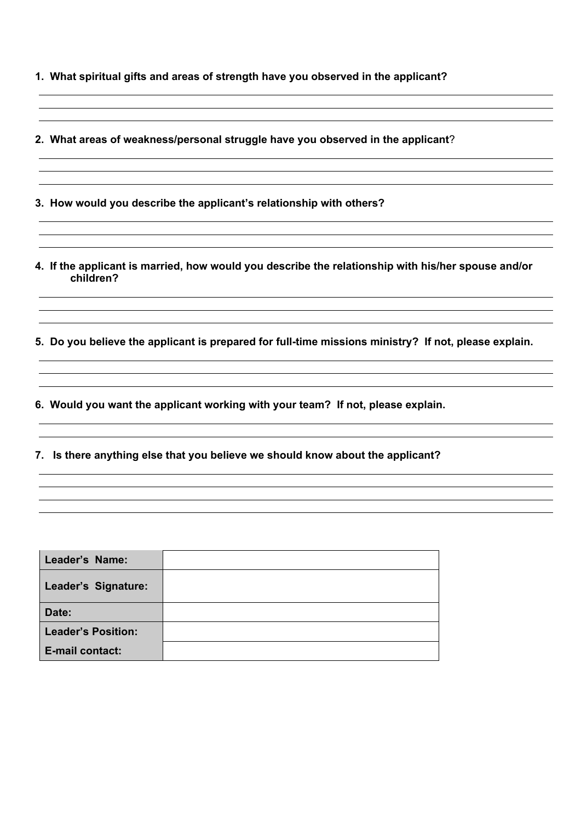- **1. What spiritual gifts and areas of strength have you observed in the applicant?**
- **2. What areas of weakness/personal struggle have you observed in the applicant**?
- **3. How would you describe the applicant's relationship with others?**
- **4. If the applicant is married, how would you describe the relationship with his/her spouse and/or children?**
- **5. Do you believe the applicant is prepared for full-time missions ministry? If not, please explain.**
- **6. Would you want the applicant working with your team? If not, please explain.**
- **7. Is there anything else that you believe we should know about the applicant?**

| Leader's Name:            |  |
|---------------------------|--|
| Leader's Signature:       |  |
| Date:                     |  |
| <b>Leader's Position:</b> |  |
| E-mail contact:           |  |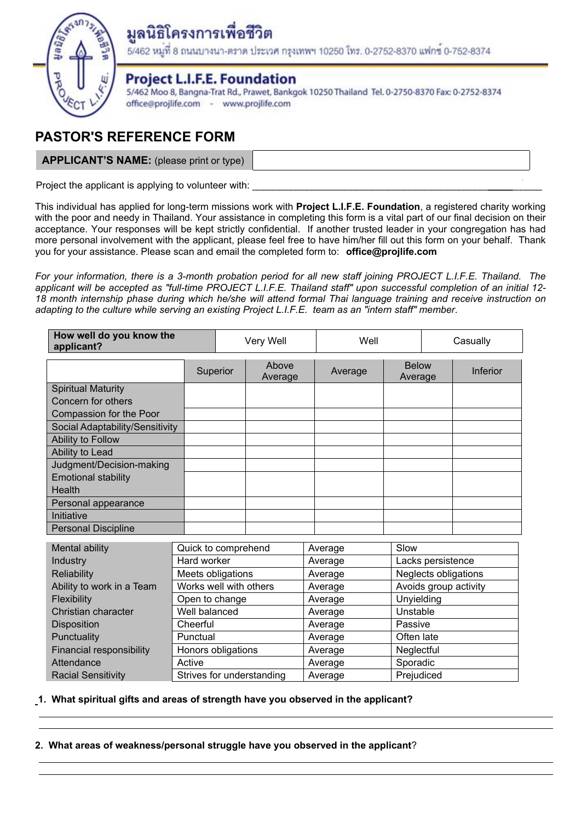

# ครงการเพื่อชีวิต

5/462 หมูที่ 8 ถนนบางนา-ตราด ประเวศ กรุงเทพฯ 10250 โทร. 0-2752-8370 แฟกซ์ 0-752-8374

## **Project L.I.F.E. Foundation**

5/462 Moo 8, Bangna-Trat Rd., Prawet, Bankgok 10250 Thailand Tel. 0-2750-8370 Fax: 0-2752-8374 office@projlife.com - www.projlife.com

# **PASTOR'S REFERENCE FORM**

**APPLICANT'S NAME:** (please print or type)

Project the applicant is applying to volunteer with:

This individual has applied for long-term missions work with **Project L.I.F.E. Foundation**, a registered charity working with the poor and needy in Thailand. Your assistance in completing this form is a vital part of our final decision on their acceptance. Your responses will be kept strictly confidential. If another trusted leader in your congregation has had more personal involvement with the applicant, please feel free to have him/her fill out this form on your behalf. Thank you for your assistance. Please scan and email the completed form to: **office@projlife.com**

For your information, there is a 3-month probation period for all new staff joining PROJECT L.I.F.E. Thailand. The applicant will be accepted as "full-time PROJECT L.I.F.E. Thailand staff" upon successful completion of an initial 12-18 month internship phase during which he/she will attend formal Thai language training and receive instruction on *adapting to the culture while serving an existing Project L.I.F.E. team as an "intern staff" member*.

| How well do you know the<br>applicant? |                   |                           | Very Well        |         | Well    |                         | Casually   |                 |
|----------------------------------------|-------------------|---------------------------|------------------|---------|---------|-------------------------|------------|-----------------|
|                                        |                   | Superior                  | Above<br>Average |         | Average | <b>Below</b><br>Average |            | <b>Inferior</b> |
| <b>Spiritual Maturity</b>              |                   |                           |                  |         |         |                         |            |                 |
| Concern for others                     |                   |                           |                  |         |         |                         |            |                 |
| Compassion for the Poor                |                   |                           |                  |         |         |                         |            |                 |
| Social Adaptability/Sensitivity        |                   |                           |                  |         |         |                         |            |                 |
| Ability to Follow                      |                   |                           |                  |         |         |                         |            |                 |
| Ability to Lead                        |                   |                           |                  |         |         |                         |            |                 |
| Judgment/Decision-making               |                   |                           |                  |         |         |                         |            |                 |
| <b>Emotional stability</b>             |                   |                           |                  |         |         |                         |            |                 |
| Health                                 |                   |                           |                  |         |         |                         |            |                 |
| Personal appearance                    |                   |                           |                  |         |         |                         |            |                 |
| Initiative                             |                   |                           |                  |         |         |                         |            |                 |
| <b>Personal Discipline</b>             |                   |                           |                  |         |         |                         |            |                 |
| Mental ability                         |                   | Quick to comprehend       |                  | Average |         | Slow                    |            |                 |
| Industry                               | Hard worker       |                           | Average          |         |         | Lacks persistence       |            |                 |
| <b>Reliability</b>                     | Meets obligations |                           | Average          |         |         | Neglects obligations    |            |                 |
| Ability to work in a Team              |                   | Works well with others    |                  | Average |         | Avoids group activity   |            |                 |
| Flexibility                            |                   | Open to change            |                  | Average |         | Unyielding              |            |                 |
| Christian character                    | Well balanced     |                           |                  | Average |         | Unstable                |            |                 |
| <b>Disposition</b>                     | Cheerful          |                           |                  | Average |         | Passive                 |            |                 |
| Punctuality                            | Punctual          |                           |                  |         | Average | Often late              |            |                 |
| Financial responsibility               |                   | Honors obligations        |                  |         | Average | Neglectful              |            |                 |
| Attendance                             | Active            |                           |                  |         | Average | Sporadic                |            |                 |
| <b>Racial Sensitivity</b>              |                   | Strives for understanding |                  |         | Average |                         | Prejudiced |                 |

**1. What spiritual gifts and areas of strength have you observed in the applicant?**

**2. What areas of weakness/personal struggle have you observed in the applicant**?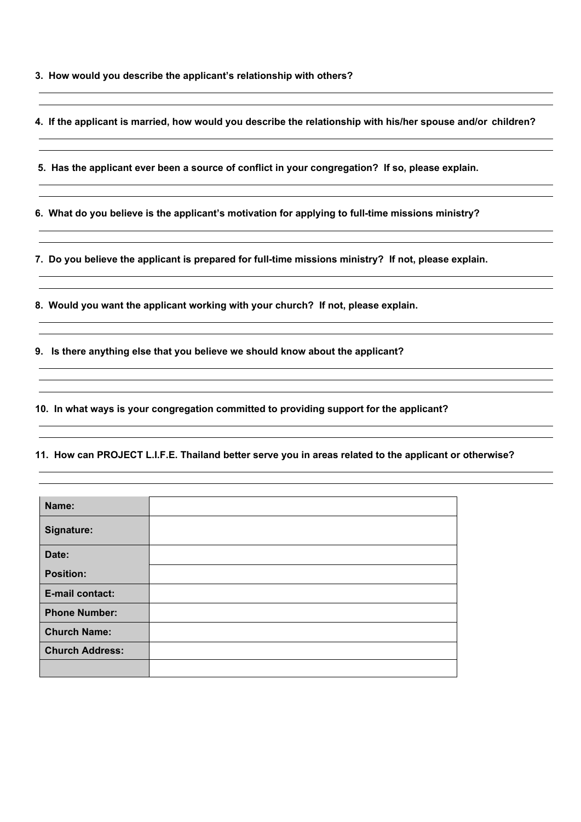**3. How would you describe the applicant's relationship with others?**

**4. If the applicant is married, how would you describe the relationship with his/her spouse and/or children?**

 **5. Has the applicant ever been a source of conflict in your congregation? If so, please explain.**

**6. What do you believe is the applicant's motivation for applying to full-time missions ministry?**

**7. Do you believe the applicant is prepared for full-time missions ministry? If not, please explain.**

**8. Would you want the applicant working with your church? If not, please explain.**

**9. Is there anything else that you believe we should know about the applicant?**

**10. In what ways is your congregation committed to providing support for the applicant?**

**11. How can PROJECT L.I.F.E. Thailand better serve you in areas related to the applicant or otherwise?**

| Name:                  |  |
|------------------------|--|
| Signature:             |  |
| Date:                  |  |
| <b>Position:</b>       |  |
| E-mail contact:        |  |
| <b>Phone Number:</b>   |  |
| <b>Church Name:</b>    |  |
| <b>Church Address:</b> |  |
|                        |  |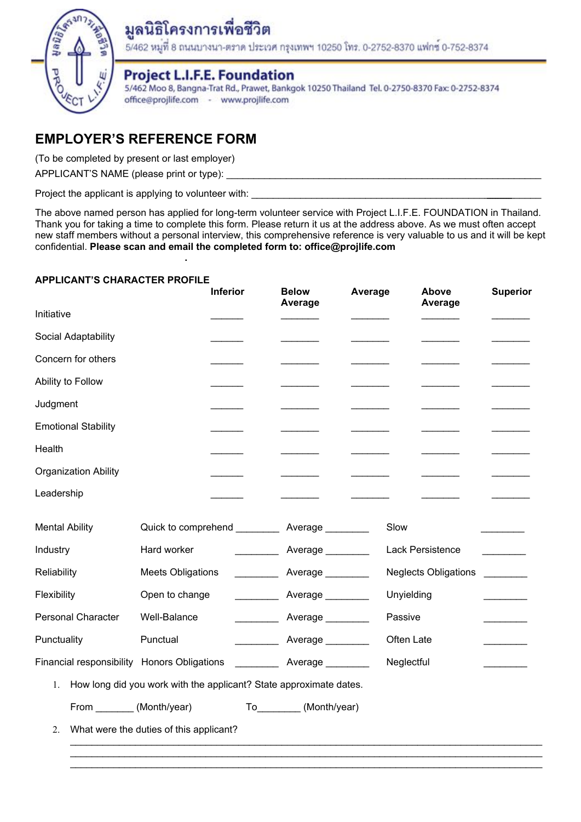

# มูลนิธิโครงการเพื่อชีวิต

5/462 หมูที่ 8 ถนนบางนา-ตราด ประเวศ กรุงเทพฯ 10250 โทร. 0-2752-8370 แฟกซ์ 0-752-8374

## **Project L.I.F.E. Foundation**

5/462 Moo 8, Bangna-Trat Rd., Prawet, Bankgok 10250 Thailand Tel. 0-2750-8370 Fax: 0-2752-8374 office@projlife.com - www.projlife.com

## **EMPLOYER'S REFERENCE FORM**

(To be completed by present or last employer)

APPLICANT'S NAME (please print or type):

Project the applicant is applying to volunteer with:

**.**

The above named person has applied for long-term volunteer service with Project L.I.F.E. FOUNDATION in Thailand. Thank you for taking a time to complete this form. Please return it us at the address above. As we must often accept new staff members without a personal interview, this comprehensive reference is very valuable to us and it will be kept confidential. **Please scan and email the completed form to: office@projlife.com**

## **APPLICANT'S CHARACTER PROFILE**

|                                                                          |                                                    | <b>Inferior</b> | <b>Below</b><br>Average | Average |            | Above<br>Average            | <b>Superior</b> |
|--------------------------------------------------------------------------|----------------------------------------------------|-----------------|-------------------------|---------|------------|-----------------------------|-----------------|
| Initiative                                                               |                                                    |                 |                         |         |            |                             |                 |
| Social Adaptability                                                      |                                                    |                 |                         |         |            |                             |                 |
| Concern for others                                                       |                                                    |                 |                         |         |            |                             |                 |
| Ability to Follow                                                        |                                                    |                 |                         |         |            |                             |                 |
| Judgment                                                                 |                                                    |                 |                         |         |            |                             |                 |
| <b>Emotional Stability</b>                                               |                                                    |                 |                         |         |            |                             |                 |
| Health                                                                   |                                                    |                 |                         |         |            |                             |                 |
| <b>Organization Ability</b>                                              |                                                    |                 |                         |         |            |                             |                 |
| Leadership                                                               |                                                    |                 |                         |         |            |                             |                 |
| <b>Mental Ability</b>                                                    | Quick to comprehend ____________ Average _________ |                 |                         |         | Slow       |                             |                 |
| Industry                                                                 | Hard worker                                        |                 | Average                 |         |            | <b>Lack Persistence</b>     |                 |
| Reliability                                                              | <b>Meets Obligations</b>                           |                 | Average ________        |         |            | <b>Neglects Obligations</b> |                 |
| Flexibility                                                              | Open to change                                     |                 | Average ________        |         | Unyielding |                             |                 |
| <b>Personal Character</b>                                                | Well-Balance                                       |                 | Average ________        |         | Passive    |                             |                 |
| Punctuality                                                              | Punctual                                           |                 | Average ________        |         | Often Late |                             |                 |
| Financial responsibility Honors Obligations                              |                                                    |                 | Average                 |         | Neglectful |                             |                 |
| How long did you work with the applicant? State approximate dates.<br>1. |                                                    |                 |                         |         |            |                             |                 |
| From ________ (Month/year)                                               |                                                    |                 | To_________(Month/year) |         |            |                             |                 |
| What were the duties of this applicant?<br>2.                            |                                                    |                 |                         |         |            |                             |                 |
|                                                                          |                                                    |                 |                         |         |            |                             |                 |

 $\_$  , and the set of the set of the set of the set of the set of the set of the set of the set of the set of the set of the set of the set of the set of the set of the set of the set of the set of the set of the set of th